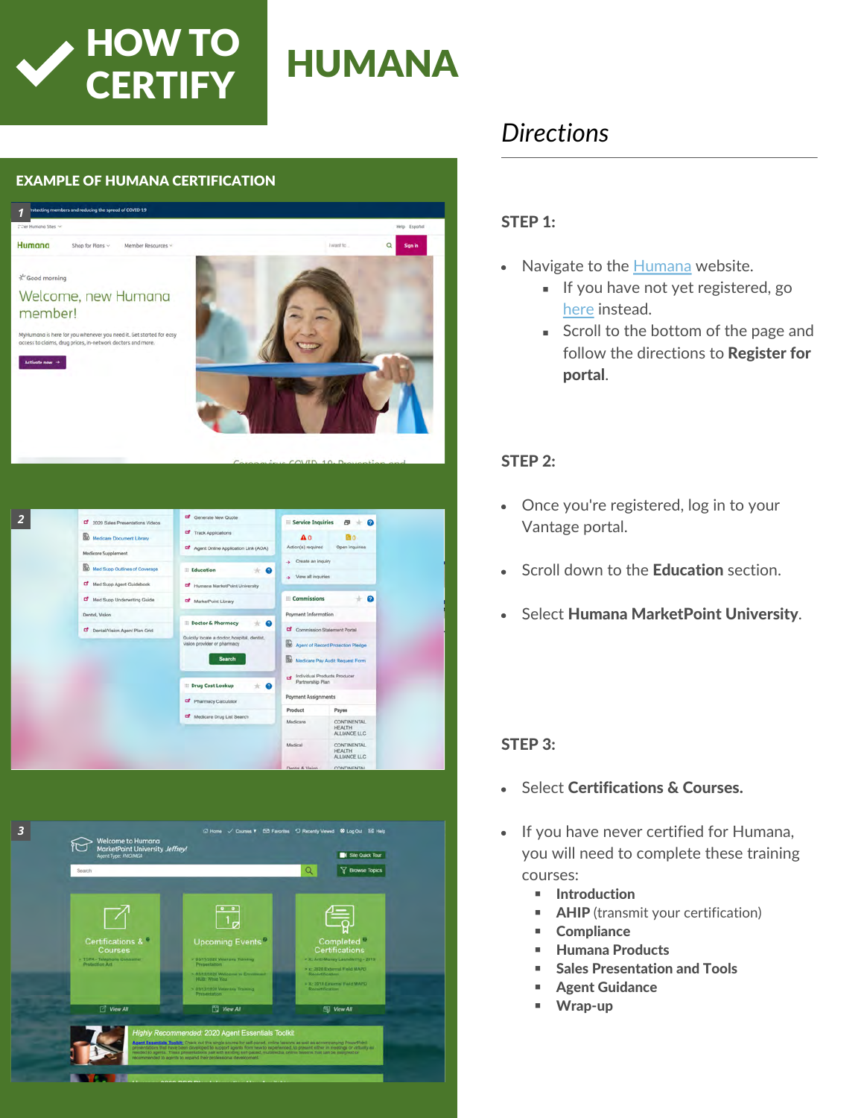

#### EXAMPLE OF HUMANA CERTIFICATION





# *Directions*

#### STEP 1:

- Navigate to the [Humana](http://www.humana.com/) website.  $\bullet$ 
	- If you have not yet registered, go [here](https://www.humana.com/%20agent/humana-agent-portal) instead.
	- Scroll to the bottom of the page and follow the directions to Register for portal.

## STEP 2:

- Once you're registered, log in to your Vantage portal.
- Scroll down to the **Education** section.  $\bullet$
- Select Humana MarketPoint University.

#### STEP 3:

- Select Certifications & Courses.  $\overline{a}$
- If you have never certified for Humana, you will need to complete these training courses:
	- **Introduction**
	- m. AHIP (transmit your certification)
	- **E** Compliance
	- m. Humana Products
	- Sales Presentation and Tools m.
	- m. Agent Guidance
	- Wrap-up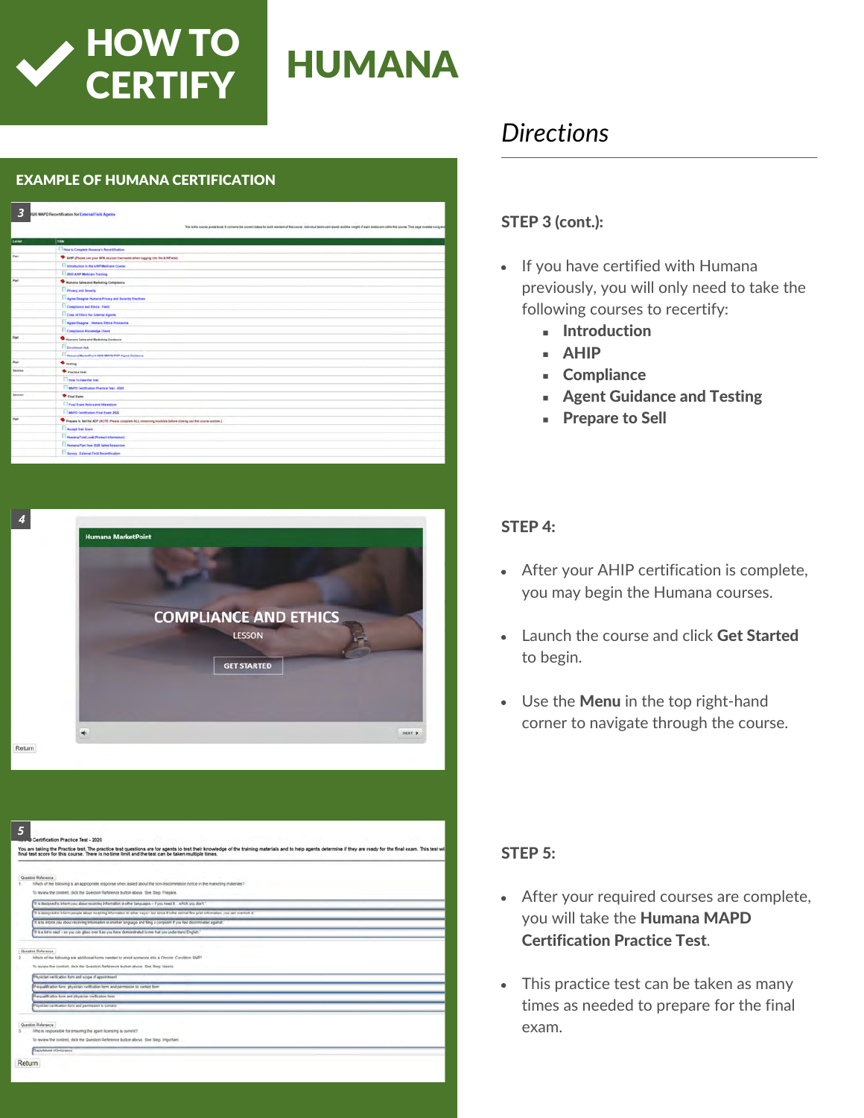

#### EXAMPLE OF HUMANA CERTIFICATION

| 3              | 920 MAPD Recentification for External Field Agents                                                           | This is the course grade book if contains the scored status for such exement of the course, institution and the create month and the origint of each lestencer suites the course. This page examine except |
|----------------|--------------------------------------------------------------------------------------------------------------|------------------------------------------------------------------------------------------------------------------------------------------------------------------------------------------------------------|
| Level          | Title                                                                                                        |                                                                                                                                                                                                            |
|                | Ti How to Complete Humana's Recentrication                                                                   |                                                                                                                                                                                                            |
| hat            | AND (Floore one your NFN as your Username when sugging into the ANP and                                      |                                                                                                                                                                                                            |
|                | <b>Ill letroduction to the ARP Medicare Course</b>                                                           |                                                                                                                                                                                                            |
|                | <b>Tagga Andram de Lingville</b>                                                                             |                                                                                                                                                                                                            |
| hat            | <b>Compara Sales and Marketing Compliance</b>                                                                |                                                                                                                                                                                                            |
|                | <b>T</b> Privacy and Security                                                                                |                                                                                                                                                                                                            |
|                | <b>TT Agree Disagree Humania Privacy and Security Privations</b>                                             |                                                                                                                                                                                                            |
|                | Complete and Effets - Netd                                                                                   |                                                                                                                                                                                                            |
|                | <b>Cons of Etrats for External Agents</b>                                                                    |                                                                                                                                                                                                            |
|                | <b>El Agrestiagne</b> - Nimara Etnica Provisiona                                                             |                                                                                                                                                                                                            |
|                | Compliance Knowledge Check                                                                                   |                                                                                                                                                                                                            |
| <b>Fart</b>    | <b>Bangra Sales and Marketing Californie</b>                                                                 |                                                                                                                                                                                                            |
|                | <b>El programment</b>                                                                                        |                                                                                                                                                                                                            |
|                | <b>The many Manuel And 2020 MAPO POP Agent Collection</b>                                                    |                                                                                                                                                                                                            |
| Part           | <b><i><u>A testing</u></i></b>                                                                               |                                                                                                                                                                                                            |
| <b>SAUSIA</b>  | Practice Inst                                                                                                |                                                                                                                                                                                                            |
|                | <b>Come to take the first</b>                                                                                |                                                                                                                                                                                                            |
|                | TT MAPS Certification Practice Test - 2020                                                                   |                                                                                                                                                                                                            |
| <b>Section</b> | <b><i>O rest fam</i></b>                                                                                     |                                                                                                                                                                                                            |
|                | The print Property Married Advertising                                                                       |                                                                                                                                                                                                            |
|                | El attiro carshiatan Freal Ease 2020                                                                         |                                                                                                                                                                                                            |
| Part           | Progets in Sell for AEP (NGTE) Please complete 411 remaining modules before closing out the course patient.) |                                                                                                                                                                                                            |
|                | Accept Text Score                                                                                            |                                                                                                                                                                                                            |
|                | <b>The Humana First Look (Product Information)</b>                                                           |                                                                                                                                                                                                            |
|                | <b>Company Part Ther 2000 Sales Resources</b>                                                                |                                                                                                                                                                                                            |
|                | <b>El Barrey : External Field Record/catton</b>                                                              |                                                                                                                                                                                                            |



|   | You are taking the Practice test. The practice test questions are for agents to test their knowledge of the training materials and to help agents determine if they are ready for the final exam. This test will<br>final test score for this course. There is no time limit and the test can be taken multiple times.                         |
|---|------------------------------------------------------------------------------------------------------------------------------------------------------------------------------------------------------------------------------------------------------------------------------------------------------------------------------------------------|
|   | Question Reference                                                                                                                                                                                                                                                                                                                             |
|   | Vihich of the following is an appropriate response when asked about the rion-discrimination notice in the marketing materials?                                                                                                                                                                                                                 |
|   | To review the content, click the Question Reference button above. See Step. Prepare.                                                                                                                                                                                                                                                           |
|   | It is designed to inform you about receiving information in other languages - if you need it - which you don't                                                                                                                                                                                                                                 |
|   | It is designed to inform people about receiving information in other ways - but since it's the normal fine print information, you can overtical it."                                                                                                                                                                                           |
|   | It is to inform you about receiving information in another language and filing a complaint if you feel discriminated egainst                                                                                                                                                                                                                   |
|   | If is a list to read - so you can gloss over it as you have demonstrated to me that you understand English."                                                                                                                                                                                                                                   |
|   | To review the content, click the Question Reference button above. See Step Needs.<br>Physician verification form and scope of appointment<br>Prequalification form physician verification form, and permission to contact form<br>Pregualfication form and physician verification form<br>Phrucian verification form and permission to contact |
| з | Question Reference<br>Who is responsible for ensuring the apert licensing is current?                                                                                                                                                                                                                                                          |
|   | To review the content, click the Question Reference button above. See Step Important.                                                                                                                                                                                                                                                          |
|   | Decartment of Insurance                                                                                                                                                                                                                                                                                                                        |
|   |                                                                                                                                                                                                                                                                                                                                                |

# *Directions*

## STEP 3 (cont.):

- If you have certified with Humana previously, you will only need to take the following courses to recertify:
	- **Introduction**
	- AHIP
	- **Compliance**
	- Agent Guidance and Testing
	- **Prepare to Sell**

#### STEP 4:

- After your AHIP certification is complete, you may begin the Humana courses.
- Launch the course and click Get Started to begin.
- Use the Menu in the top right-hand corner to navigate through the course.

## STEP 5:

- After your required courses are complete, you will take the Humana MAPD Certification Practice Test.
- This practice test can be taken as many times as needed to prepare for the final exam.